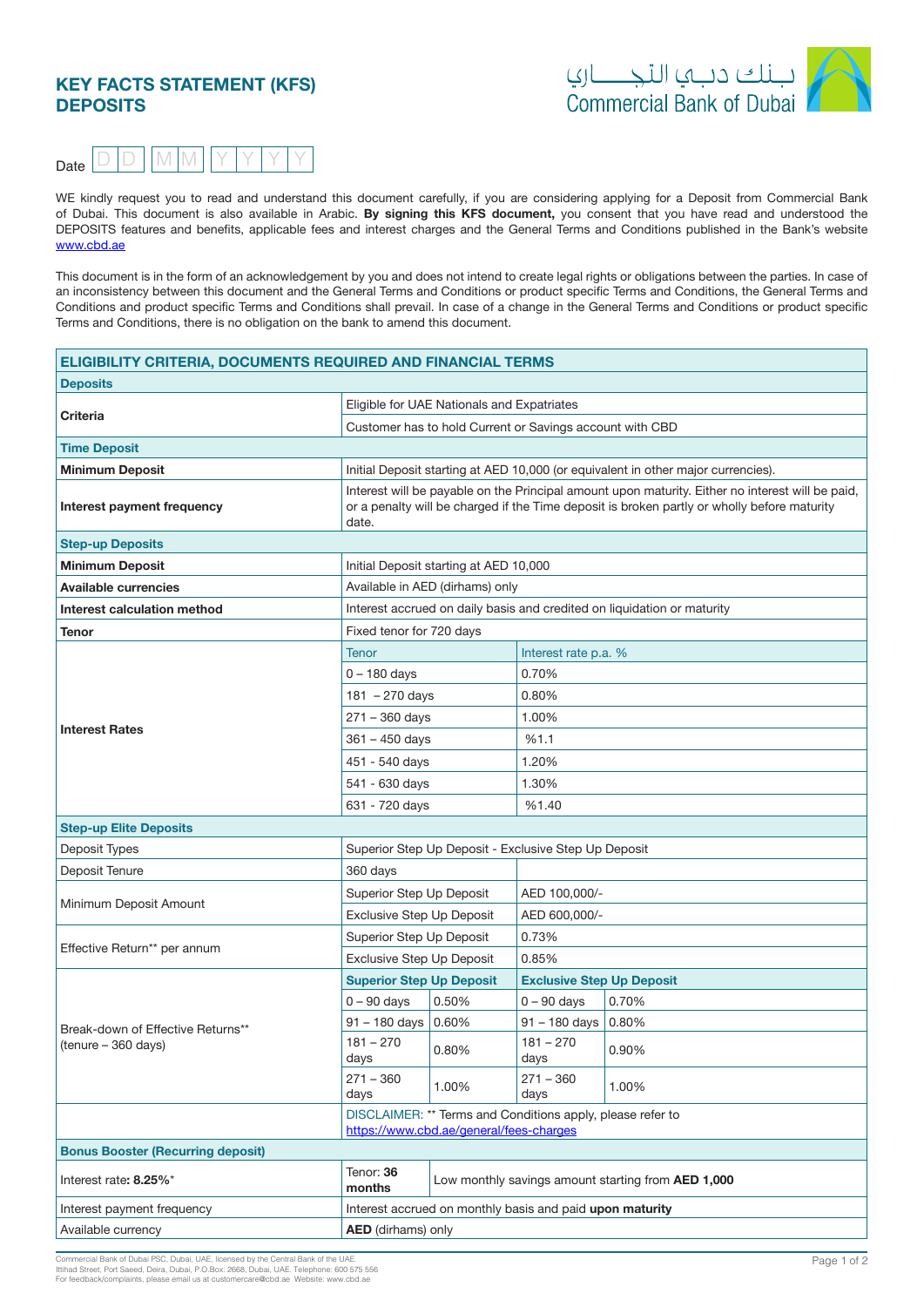# **KEY FACTS STATEMENT (KFS) DEPOSITS**





WE kindly request you to read and understand this document carefully, if you are considering applying for a Deposit from Commercial Bank of Dubai. This document is also available in Arabic. By signing this KFS document, you consent that you have read and understood the DEPOSITS features and benefits, applicable fees and interest charges and the General Terms and Conditions published in the Bank's website www.cbd.ae

This document is in the form of an acknowledgement by you and does not intend to create legal rights or obligations between the parties. In case of an inconsistency between this document and the General Terms and Conditions or product specific Terms and Conditions, the General Terms and Conditions and product specific Terms and Conditions shall prevail. In case of a change in the General Terms and Conditions or product specific Terms and Conditions, there is no obligation on the bank to amend this document.

| <b>ELIGIBILITY CRITERIA, DOCUMENTS REQUIRED AND FINANCIAL TERMS</b> |                                                                                                                                                                                                          |                                                          |                                                            |       |  |  |
|---------------------------------------------------------------------|----------------------------------------------------------------------------------------------------------------------------------------------------------------------------------------------------------|----------------------------------------------------------|------------------------------------------------------------|-------|--|--|
| <b>Deposits</b>                                                     |                                                                                                                                                                                                          |                                                          |                                                            |       |  |  |
|                                                                     | Eligible for UAE Nationals and Expatriates                                                                                                                                                               |                                                          |                                                            |       |  |  |
| Criteria                                                            |                                                                                                                                                                                                          |                                                          | Customer has to hold Current or Savings account with CBD   |       |  |  |
| <b>Time Deposit</b>                                                 |                                                                                                                                                                                                          |                                                          |                                                            |       |  |  |
| <b>Minimum Deposit</b>                                              | Initial Deposit starting at AED 10,000 (or equivalent in other major currencies).                                                                                                                        |                                                          |                                                            |       |  |  |
| Interest payment frequency                                          | Interest will be payable on the Principal amount upon maturity. Either no interest will be paid,<br>or a penalty will be charged if the Time deposit is broken partly or wholly before maturity<br>date. |                                                          |                                                            |       |  |  |
| <b>Step-up Deposits</b>                                             |                                                                                                                                                                                                          |                                                          |                                                            |       |  |  |
| <b>Minimum Deposit</b>                                              | Initial Deposit starting at AED 10,000                                                                                                                                                                   |                                                          |                                                            |       |  |  |
| <b>Available currencies</b>                                         |                                                                                                                                                                                                          | Available in AED (dirhams) only                          |                                                            |       |  |  |
| Interest calculation method                                         | Interest accrued on daily basis and credited on liquidation or maturity                                                                                                                                  |                                                          |                                                            |       |  |  |
| <b>Tenor</b>                                                        | Fixed tenor for 720 days                                                                                                                                                                                 |                                                          |                                                            |       |  |  |
|                                                                     | <b>Tenor</b>                                                                                                                                                                                             |                                                          | Interest rate p.a. %                                       |       |  |  |
|                                                                     | 0 – 180 days                                                                                                                                                                                             |                                                          | 0.70%                                                      |       |  |  |
|                                                                     | $181 - 270$ days                                                                                                                                                                                         |                                                          | 0.80%                                                      |       |  |  |
|                                                                     | $271 - 360$ days                                                                                                                                                                                         |                                                          | 1.00%                                                      |       |  |  |
| <b>Interest Rates</b>                                               | $361 - 450$ days                                                                                                                                                                                         |                                                          | %1.1                                                       |       |  |  |
|                                                                     | 451 - 540 days                                                                                                                                                                                           |                                                          | 1.20%                                                      |       |  |  |
|                                                                     | 541 - 630 days                                                                                                                                                                                           |                                                          | 1.30%                                                      |       |  |  |
|                                                                     | 631 - 720 days                                                                                                                                                                                           |                                                          | %1.40                                                      |       |  |  |
| <b>Step-up Elite Deposits</b>                                       |                                                                                                                                                                                                          |                                                          |                                                            |       |  |  |
| Deposit Types                                                       |                                                                                                                                                                                                          |                                                          | Superior Step Up Deposit - Exclusive Step Up Deposit       |       |  |  |
| Deposit Tenure                                                      | 360 days                                                                                                                                                                                                 |                                                          |                                                            |       |  |  |
|                                                                     | Superior Step Up Deposit                                                                                                                                                                                 |                                                          | AED 100,000/-                                              |       |  |  |
| Minimum Deposit Amount                                              | <b>Exclusive Step Up Deposit</b>                                                                                                                                                                         |                                                          | AED 600,000/-                                              |       |  |  |
|                                                                     | Superior Step Up Deposit                                                                                                                                                                                 |                                                          | 0.73%                                                      |       |  |  |
| Effective Return** per annum                                        | <b>Exclusive Step Up Deposit</b>                                                                                                                                                                         |                                                          | 0.85%                                                      |       |  |  |
|                                                                     | <b>Superior Step Up Deposit</b>                                                                                                                                                                          |                                                          | <b>Exclusive Step Up Deposit</b>                           |       |  |  |
|                                                                     | $0 - 90$ days                                                                                                                                                                                            | 0.50%                                                    | $0 - 90$ days                                              | 0.70% |  |  |
| Break-down of Effective Returns**                                   | 91 - 180 days   0.60%                                                                                                                                                                                    |                                                          | $91 - 180$ days                                            | 0.80% |  |  |
| (tenure - 360 days)                                                 | $181 - 270$<br>days                                                                                                                                                                                      | 0.80%                                                    | $181 - 270$<br>days                                        | 0.90% |  |  |
|                                                                     | $271 - 360$<br>days                                                                                                                                                                                      | 1.00%                                                    | $271 - 360$<br>days                                        | 1.00% |  |  |
|                                                                     |                                                                                                                                                                                                          | https://www.cbd.ae/general/fees-charges                  | DISCLAIMER: ** Terms and Conditions apply, please refer to |       |  |  |
| <b>Bonus Booster (Recurring deposit)</b>                            |                                                                                                                                                                                                          |                                                          |                                                            |       |  |  |
| Interest rate: 8.25%*                                               | Tenor: 36<br>Low monthly savings amount starting from AED 1,000<br>months                                                                                                                                |                                                          |                                                            |       |  |  |
| Interest payment frequency                                          |                                                                                                                                                                                                          | Interest accrued on monthly basis and paid upon maturity |                                                            |       |  |  |
| Available currency                                                  | <b>AED</b> (dirhams) only                                                                                                                                                                                |                                                          |                                                            |       |  |  |

Commercial Bank of Dubai PSC, Dubai, UAE, licensed by the Central Bank of the UAE.<br>Ittihad Street, Port Saeed, Deira, Dubai, P.O.Box: 2668, Dubai, UAE. Telephone: 600 575 556 above a complaints, please email us at customercare@cbd.ae. Website: www.cbd.ae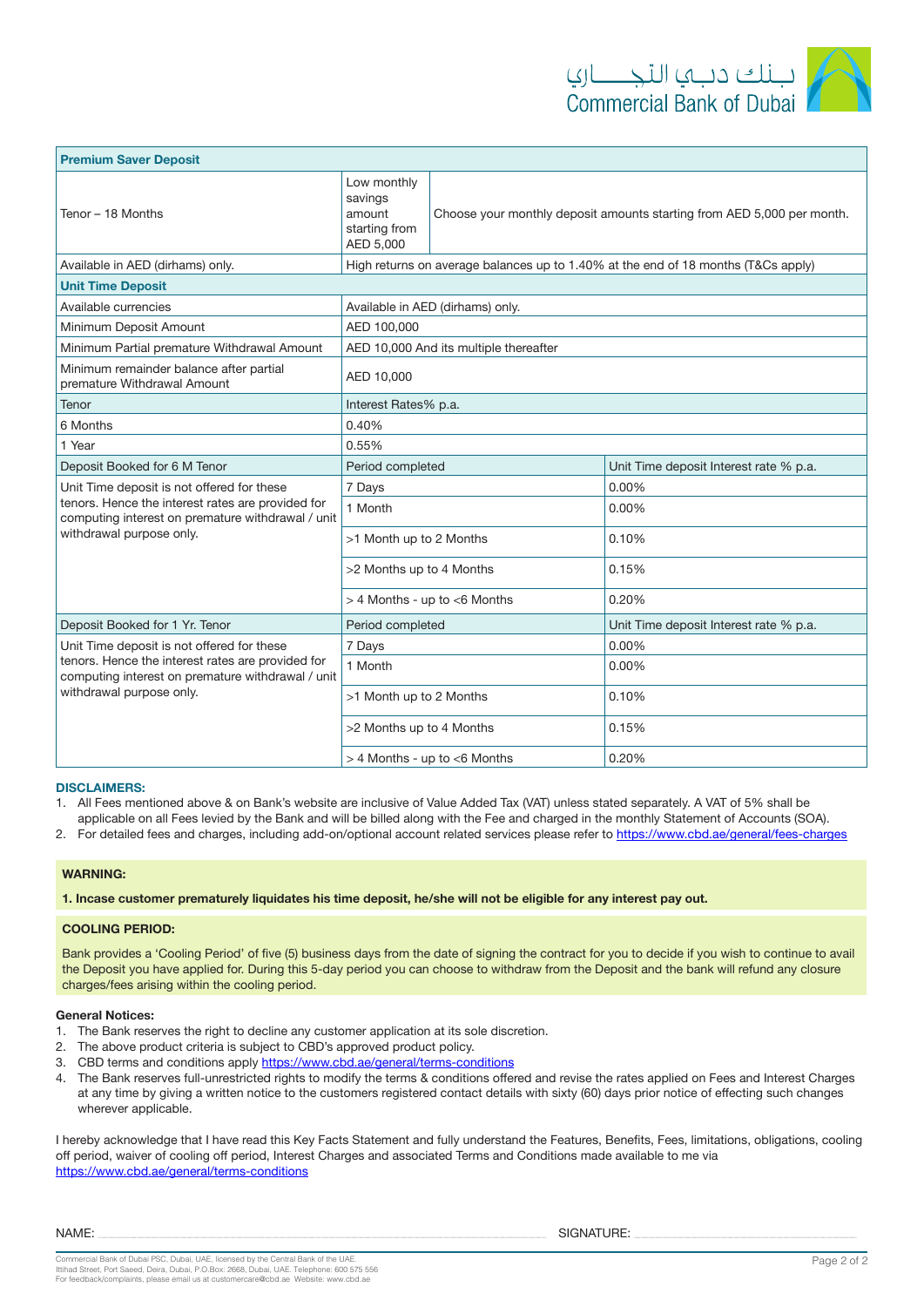| <b>Premium Saver Deposit</b>                                                                           |                                                                                                                                          |  |                                        |  |
|--------------------------------------------------------------------------------------------------------|------------------------------------------------------------------------------------------------------------------------------------------|--|----------------------------------------|--|
| Tenor - 18 Months                                                                                      | Low monthly<br>savings<br>Choose your monthly deposit amounts starting from AED 5,000 per month.<br>amount<br>starting from<br>AED 5,000 |  |                                        |  |
| Available in AED (dirhams) only.                                                                       | High returns on average balances up to 1.40% at the end of 18 months (T&Cs apply)                                                        |  |                                        |  |
| <b>Unit Time Deposit</b>                                                                               |                                                                                                                                          |  |                                        |  |
| Available currencies                                                                                   | Available in AED (dirhams) only.                                                                                                         |  |                                        |  |
| Minimum Deposit Amount                                                                                 | AED 100,000                                                                                                                              |  |                                        |  |
| Minimum Partial premature Withdrawal Amount                                                            | AED 10,000 And its multiple thereafter                                                                                                   |  |                                        |  |
| Minimum remainder balance after partial<br>premature Withdrawal Amount                                 | AED 10,000                                                                                                                               |  |                                        |  |
| Tenor                                                                                                  | Interest Rates% p.a.                                                                                                                     |  |                                        |  |
| 6 Months                                                                                               | 0.40%                                                                                                                                    |  |                                        |  |
| 1 Year                                                                                                 | 0.55%                                                                                                                                    |  |                                        |  |
| Deposit Booked for 6 M Tenor                                                                           | Period completed                                                                                                                         |  | Unit Time deposit Interest rate % p.a. |  |
| Unit Time deposit is not offered for these                                                             | 7 Days                                                                                                                                   |  | 0.00%                                  |  |
| tenors. Hence the interest rates are provided for<br>computing interest on premature withdrawal / unit | 1 Month                                                                                                                                  |  | 0.00%                                  |  |
| withdrawal purpose only.                                                                               | >1 Month up to 2 Months                                                                                                                  |  | 0.10%                                  |  |
|                                                                                                        | >2 Months up to 4 Months                                                                                                                 |  | 0.15%                                  |  |
|                                                                                                        | $>$ 4 Months - up to $<$ 6 Months                                                                                                        |  | 0.20%                                  |  |
| Deposit Booked for 1 Yr. Tenor                                                                         | Period completed                                                                                                                         |  | Unit Time deposit Interest rate % p.a. |  |
| Unit Time deposit is not offered for these                                                             | 7 Days                                                                                                                                   |  | 0.00%                                  |  |
| tenors. Hence the interest rates are provided for<br>computing interest on premature withdrawal / unit | 1 Month                                                                                                                                  |  | 0.00%                                  |  |
| withdrawal purpose only.                                                                               | >1 Month up to 2 Months                                                                                                                  |  | 0.10%                                  |  |
|                                                                                                        | >2 Months up to 4 Months                                                                                                                 |  | 0.15%                                  |  |
|                                                                                                        | 0.20%<br>$>$ 4 Months - up to $<$ 6 Months                                                                                               |  |                                        |  |

### **:DISCLAIMERS**

1. All Fees mentioned above & on Bank's website are inclusive of Value Added Tax (VAT) unless stated separately. A VAT of 5% shall be

applicable on all Fees levied by the Bank and will be billed along with the Fee and charged in the monthly Statement of Accounts (SOA). 2. For detailed fees and charges, including add-on/optional account related services please refer to https://www.cbd.ae/general/fees-charges

#### **:WARNING**

1. Incase customer prematurely liquidates his time deposit, he/she will not be eligible for any interest pay out.

#### **COOLING PERIOD:**

Bank provides a 'Cooling Period' of five (5) business days from the date of signing the contract for you to decide if you wish to continue to avail the Deposit you have applied for. During this 5-day period you can choose to withdraw from the Deposit and the bank will refund any closure charges/fees arising within the cooling period.

### **General Notices:**

- 1. The Bank reserves the right to decline any customer application at its sole discretion.
- 2. The above product criteria is subject to CBD's approved product policy.
- 3. CBD terms and conditions apply https://www.cbd.ae/general/terms-conditions
- 4. The Bank reserves full-unrestricted rights to modify the terms & conditions offered and revise the rates applied on Fees and Interest Charges at any time by giving a written notice to the customers registered contact details with sixty (60) days prior notice of effecting such changes wherever applicable.

I hereby acknowledge that I have read this Key Facts Statement and fully understand the Features, Benefits, Fees, limitations, obligations, cooling off period, waiver of cooling off period, Interest Charges and associated Terms and Conditions made available to me via https://www.cbd.ae/general/terms-conditions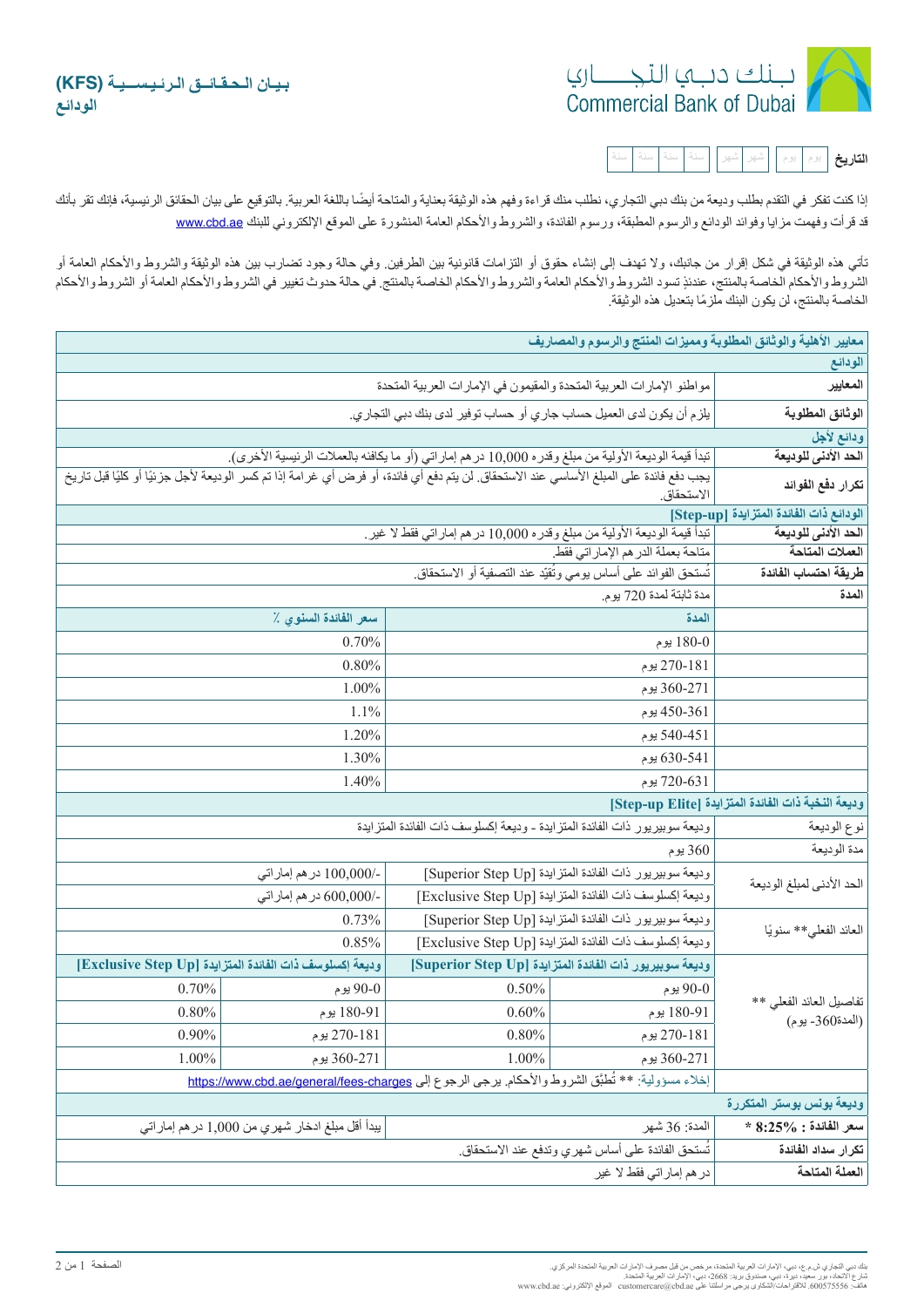

| 잎 |
|---|
|---|

إذا كنت تفكر في التقدم بطلب ودیعة من بنك دبي التجاري، نطلب منك قراءة وفهم هذه الوثیقة بعنایة والمتاب العالق بعنای بعنای الحقائق الرئیسیة، فإنك تقر بأنك قد قرأت وفهمت مزايا وفوائد الودائع والرسوم المطبقة، ورسوم الفائدة، والشروط والأحكام العامة المنشورة على الموقع الإلكتروني للبنك www.cbd.ae

تأتي ھذه الوثیقة في شكل إقرار من جانبك، ولا تھدف إلى إنشاء حقوق أو التزامات قانونیة بین الطرفین. وفي حالة وجود تضارب بین ھذه الوثیقة والشروط والأحكام العامة أو ٍ الشروط والأحكام الخاصة بالمنتج، عندئذ تسود الشروط والأحكام العامة والشروط والأحكام الخاصة بالمنتج. في حالة حدوث تغییر في الشروط والأحكام العامة أو الشروط والأحكام ً الخاصة بالمنتج، لن یكون البنك ملزما بتعدیل ھذه الوثیقة.

| معايير الأهلية والوثائق المطلوبة ومميزات المنتج والرسوم والمصاريف                         |                                                                                                   |                                                                                                                                       |                                                         |       |  |  |
|-------------------------------------------------------------------------------------------|---------------------------------------------------------------------------------------------------|---------------------------------------------------------------------------------------------------------------------------------------|---------------------------------------------------------|-------|--|--|
| الودائع                                                                                   |                                                                                                   |                                                                                                                                       |                                                         |       |  |  |
| المعايير                                                                                  |                                                                                                   | مواطنو الإمارات العربية المتحدة والمقيمون في الإمارات العربية المتحدة                                                                 |                                                         |       |  |  |
| الوثائق المطلوبة                                                                          |                                                                                                   | يلزم أن يكون لدى العميل حساب جاري أو حساب توفير لدى بنك دبي التجاري.                                                                  |                                                         |       |  |  |
| ودائع لأجل                                                                                |                                                                                                   |                                                                                                                                       |                                                         |       |  |  |
| الحد الأدنى للوديعة                                                                       |                                                                                                   | تبدأ قيمة الوديعة الأولية من مبلغ وقدره 10,000 درهم إماراتي (أو ما يكافئه بالعملات الرئيسية الأخرى).                                  |                                                         |       |  |  |
| تكرار دفع الفوائد                                                                         | الاستحقاق.                                                                                        | يجب دفع فائدة على المبلغ الأساسي عند الاستحقاق لن يتم دفع أي فائدة، أو فرض أي غرامة إذا تم كسر الوديعة لأجل جزئيًا أو كليًا قبل تاريخ |                                                         |       |  |  |
|                                                                                           | الودائع ذات الفائدة المتزايدة [Step-up]                                                           |                                                                                                                                       |                                                         |       |  |  |
| الحد الأدنى للوديعة                                                                       | تبدأ قيمة الوديعة الأولية من مبلغ وقدره 10,000 در هم إماراتي فقط لا غير ِ                         |                                                                                                                                       |                                                         |       |  |  |
| العملات المتاحة                                                                           |                                                                                                   | متاحة بعملة الدرهم الإماراتي فقط<br>تَستحق الفوائد على أساس يومي وتُقيّد عند التصفية أو الاستحقاق.                                    |                                                         |       |  |  |
| طريقة احتساب الفائدة                                                                      |                                                                                                   |                                                                                                                                       |                                                         |       |  |  |
| المدة                                                                                     | مدة ثابتة لمدة 720 يوم.                                                                           |                                                                                                                                       |                                                         |       |  |  |
|                                                                                           | المدة                                                                                             |                                                                                                                                       | سعر الفائدة السنوي ٪                                    |       |  |  |
|                                                                                           | 180-0 يوم                                                                                         |                                                                                                                                       | 0.70%                                                   |       |  |  |
|                                                                                           | 270-181 بوم                                                                                       |                                                                                                                                       | 0.80%                                                   |       |  |  |
|                                                                                           | 360-271 يوم                                                                                       |                                                                                                                                       | 1.00%                                                   |       |  |  |
|                                                                                           | 450-361 يوم                                                                                       |                                                                                                                                       | $1.1\%$                                                 |       |  |  |
|                                                                                           | 451-540 بوم                                                                                       |                                                                                                                                       | 1.20%                                                   |       |  |  |
|                                                                                           | 630-541 پوم                                                                                       |                                                                                                                                       | 1.30%                                                   |       |  |  |
|                                                                                           | 720-631 يوم                                                                                       |                                                                                                                                       | 1.40%                                                   |       |  |  |
|                                                                                           | وديعة النخبة ذات الفائدة المتزايدة [Step-up Elite]                                                |                                                                                                                                       |                                                         |       |  |  |
| وديعة سوبيريور ذات الفائدة المتزايدة ـ وديعة إكسلوسف ذات الفائدة المتزايدة<br>نوع الوديعة |                                                                                                   |                                                                                                                                       |                                                         |       |  |  |
| مدة الوديعة                                                                               | 360 پوم                                                                                           |                                                                                                                                       |                                                         |       |  |  |
|                                                                                           | وديعة سوبيريور ذات الفائدة المتزايدة [Superior Step Up]                                           |                                                                                                                                       | -/100,000 در هم إماراتي                                 |       |  |  |
| الحد الأدني لمبلغ الوديعة                                                                 | وديعة إكسلوسف ذات الفائدة المتزايدة [Exclusive Step Up]                                           |                                                                                                                                       | -/600,000 در هم إماراتي                                 |       |  |  |
|                                                                                           | وديعة سوبيريور ذات الفائدة المتزايدة [Superior Step Up]                                           |                                                                                                                                       | 0.73%                                                   |       |  |  |
| العائد الفعلى** سنويًا                                                                    | وديعة إكسلوسف ذات الفائدة المتزايدة [Exclusive Step Up]<br>0.85%                                  |                                                                                                                                       |                                                         |       |  |  |
| تفاصيل العائد الفعلى **<br>(المدة360- يوم)                                                | وديعة سوبيريور ذات الفائدة المتزايدة [Superior Step Up]                                           |                                                                                                                                       | وديعة إكسلوسف ذات الفائدة المتزايدة [Exclusive Step Up] |       |  |  |
|                                                                                           | 90-0 يوم                                                                                          | $0.50\%$                                                                                                                              | 90-0 يوم                                                | 0.70% |  |  |
|                                                                                           | 180-91 يوم                                                                                        | 0.60%                                                                                                                                 | 180-91 يوم                                              | 0.80% |  |  |
|                                                                                           | 181-270 يوم                                                                                       | 0.80%                                                                                                                                 | 270-181 يوم                                             | 0.90% |  |  |
|                                                                                           | 271-360 يوم                                                                                       | 1.00%                                                                                                                                 | 360-271 يوم                                             | 1.00% |  |  |
|                                                                                           | إخلاء مسؤولية: ** تُطبَّق الشروط والأحكام يرجى الرجوع إلى https://www.cbd.ae/general/fees-charges |                                                                                                                                       |                                                         |       |  |  |
| وديعة بونس بوستر المتكررة                                                                 |                                                                                                   |                                                                                                                                       |                                                         |       |  |  |
| $*8.25\%:$ سعر الفائدة                                                                    | يبدأ أقل مبلغ ادخار شهري من 1,000 در هم إماراتي<br>المدة: 36 شهر                                  |                                                                                                                                       |                                                         |       |  |  |
| تكرار سداد الفائدة                                                                        | تُستحق الفائدة على أساس شهر ي وتدفع عند الاستحقاق.                                                |                                                                                                                                       |                                                         |       |  |  |
| العملة المتاحة                                                                            | در هم إمار اتي فقط لا غير                                                                         |                                                                                                                                       |                                                         |       |  |  |
|                                                                                           |                                                                                                   |                                                                                                                                       |                                                         |       |  |  |

نك دبي النجار ي ش م ع، دبي ، الإمار ات العربية المنحدة مر خص من قبل مصرف الإمار ات العربية المنحدة المركز ي.<br>نارع : الاتحاد بور سعيد دبورة دبي، مسنوق بريد: 2668، دبي، الإمارات العربية المنحدة<br>فاتف: 360675556، للاقتراحات/ا